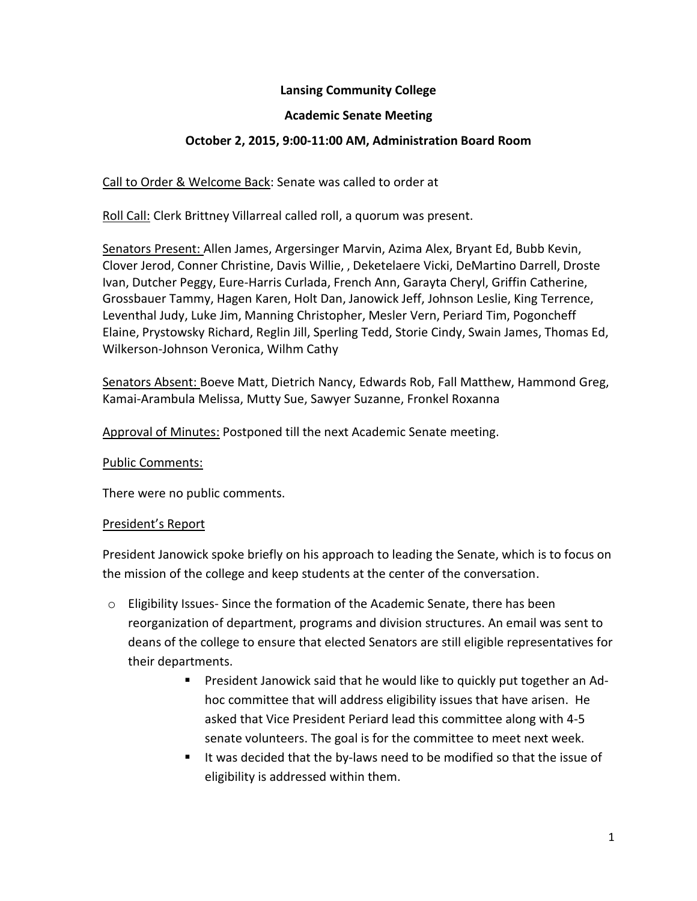## **Lansing Community College**

#### **Academic Senate Meeting**

## **October 2, 2015, 9:00-11:00 AM, Administration Board Room**

Call to Order & Welcome Back: Senate was called to order at

Roll Call: Clerk Brittney Villarreal called roll, a quorum was present.

Senators Present: Allen James, Argersinger Marvin, Azima Alex, Bryant Ed, Bubb Kevin, Clover Jerod, Conner Christine, Davis Willie, , Deketelaere Vicki, DeMartino Darrell, Droste Ivan, Dutcher Peggy, Eure-Harris Curlada, French Ann, Garayta Cheryl, Griffin Catherine, Grossbauer Tammy, Hagen Karen, Holt Dan, Janowick Jeff, Johnson Leslie, King Terrence, Leventhal Judy, Luke Jim, Manning Christopher, Mesler Vern, Periard Tim, Pogoncheff Elaine, Prystowsky Richard, Reglin Jill, Sperling Tedd, Storie Cindy, Swain James, Thomas Ed, Wilkerson-Johnson Veronica, Wilhm Cathy

Senators Absent: Boeve Matt, Dietrich Nancy, Edwards Rob, Fall Matthew, Hammond Greg, Kamai-Arambula Melissa, Mutty Sue, Sawyer Suzanne, Fronkel Roxanna

Approval of Minutes: Postponed till the next Academic Senate meeting.

#### Public Comments:

There were no public comments.

#### President's Report

President Janowick spoke briefly on his approach to leading the Senate, which is to focus on the mission of the college and keep students at the center of the conversation.

- o Eligibility Issues- Since the formation of the Academic Senate, there has been reorganization of department, programs and division structures. An email was sent to deans of the college to ensure that elected Senators are still eligible representatives for their departments.
	- President Janowick said that he would like to quickly put together an Adhoc committee that will address eligibility issues that have arisen. He asked that Vice President Periard lead this committee along with 4-5 senate volunteers. The goal is for the committee to meet next week.
	- It was decided that the by-laws need to be modified so that the issue of eligibility is addressed within them.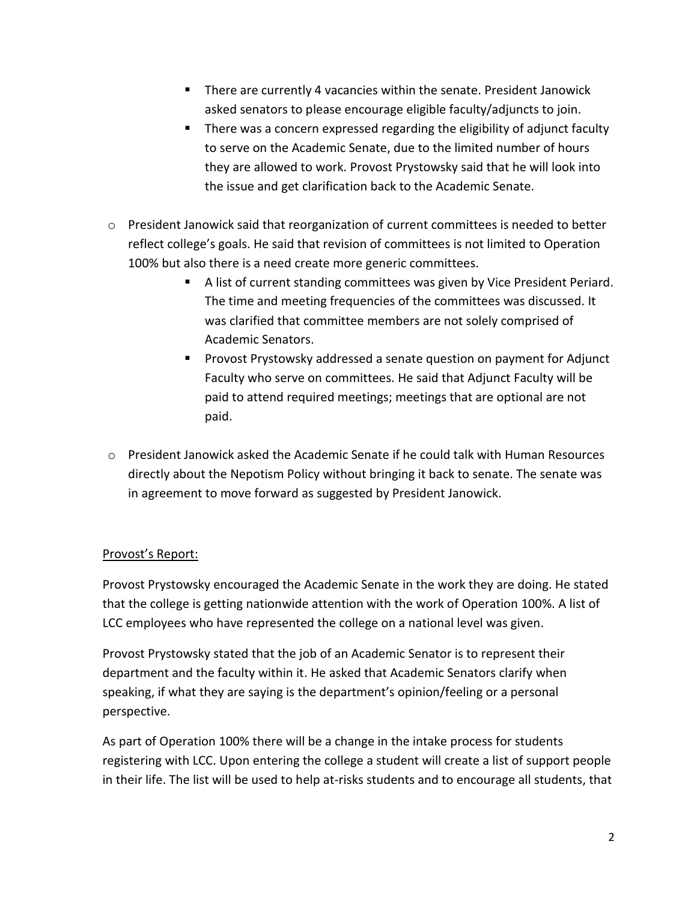- There are currently 4 vacancies within the senate. President Janowick asked senators to please encourage eligible faculty/adjuncts to join.
- There was a concern expressed regarding the eligibility of adjunct faculty to serve on the Academic Senate, due to the limited number of hours they are allowed to work. Provost Prystowsky said that he will look into the issue and get clarification back to the Academic Senate.
- o President Janowick said that reorganization of current committees is needed to better reflect college's goals. He said that revision of committees is not limited to Operation 100% but also there is a need create more generic committees.
	- A list of current standing committees was given by Vice President Periard. The time and meeting frequencies of the committees was discussed. It was clarified that committee members are not solely comprised of Academic Senators.
	- **Provost Prystowsky addressed a senate question on payment for Adjunct** Faculty who serve on committees. He said that Adjunct Faculty will be paid to attend required meetings; meetings that are optional are not paid.
- o President Janowick asked the Academic Senate if he could talk with Human Resources directly about the Nepotism Policy without bringing it back to senate. The senate was in agreement to move forward as suggested by President Janowick.

# Provost's Report:

Provost Prystowsky encouraged the Academic Senate in the work they are doing. He stated that the college is getting nationwide attention with the work of Operation 100%. A list of LCC employees who have represented the college on a national level was given.

Provost Prystowsky stated that the job of an Academic Senator is to represent their department and the faculty within it. He asked that Academic Senators clarify when speaking, if what they are saying is the department's opinion/feeling or a personal perspective.

As part of Operation 100% there will be a change in the intake process for students registering with LCC. Upon entering the college a student will create a list of support people in their life. The list will be used to help at-risks students and to encourage all students, that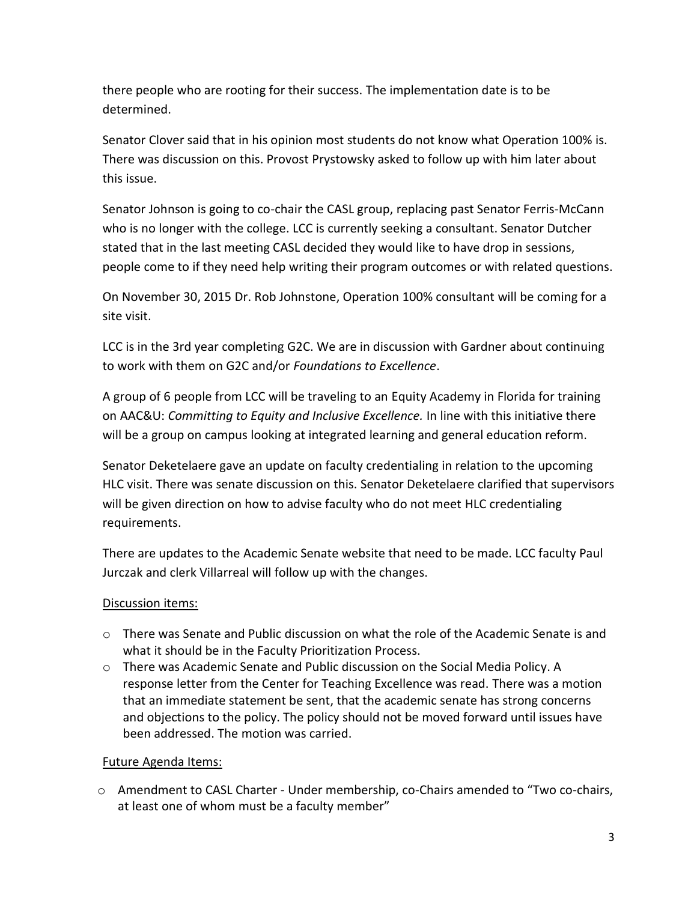there people who are rooting for their success. The implementation date is to be determined.

Senator Clover said that in his opinion most students do not know what Operation 100% is. There was discussion on this. Provost Prystowsky asked to follow up with him later about this issue.

Senator Johnson is going to co-chair the CASL group, replacing past Senator Ferris-McCann who is no longer with the college. LCC is currently seeking a consultant. Senator Dutcher stated that in the last meeting CASL decided they would like to have drop in sessions, people come to if they need help writing their program outcomes or with related questions.

On November 30, 2015 Dr. Rob Johnstone, Operation 100% consultant will be coming for a site visit.

LCC is in the 3rd year completing G2C. We are in discussion with Gardner about continuing to work with them on G2C and/or *Foundations to Excellence*.

A group of 6 people from LCC will be traveling to an Equity Academy in Florida for training on AAC&U: *Committing to Equity and Inclusive Excellence.* In line with this initiative there will be a group on campus looking at integrated learning and general education reform.

Senator Deketelaere gave an update on faculty credentialing in relation to the upcoming HLC visit. There was senate discussion on this. Senator Deketelaere clarified that supervisors will be given direction on how to advise faculty who do not meet HLC credentialing requirements.

There are updates to the Academic Senate website that need to be made. LCC faculty Paul Jurczak and clerk Villarreal will follow up with the changes.

## Discussion items:

- o There was Senate and Public discussion on what the role of the Academic Senate is and what it should be in the Faculty Prioritization Process.
- o There was Academic Senate and Public discussion on the Social Media Policy. A response letter from the Center for Teaching Excellence was read. There was a motion that an immediate statement be sent, that the academic senate has strong concerns and objections to the policy. The policy should not be moved forward until issues have been addressed. The motion was carried.

## Future Agenda Items:

o Amendment to CASL Charter - Under membership, co-Chairs amended to "Two co-chairs, at least one of whom must be a faculty member"